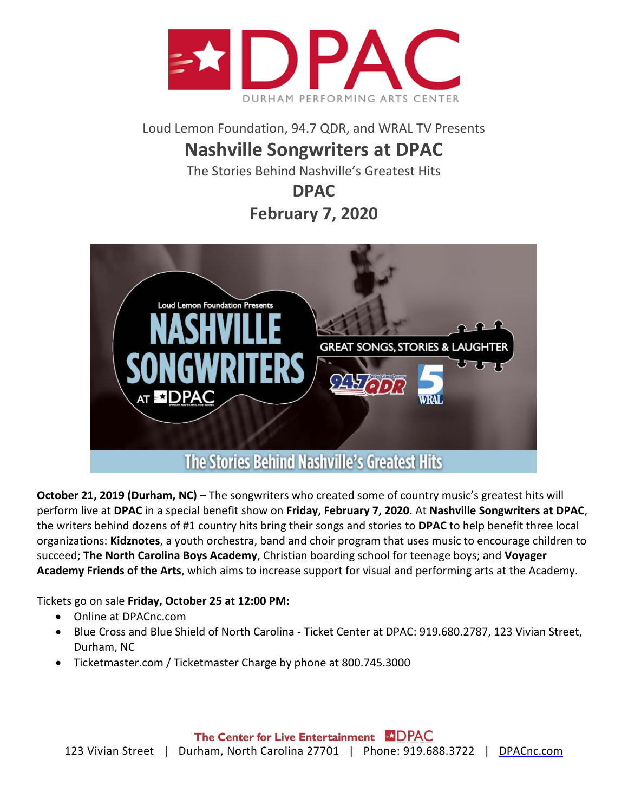

Loud Lemon Foundation, 94.7 QDR, and WRAL TV Presents

## **Nashville Songwriters at DPAC**

The Stories Behind Nashville's Greatest Hits

**DPAC**

**February 7, 2020**



**October 21, 2019 (Durham, NC) –** The songwriters who created some of country music's greatest hits will perform live at **DPAC** in a special benefit show on **Friday, February 7, 2020**. At **Nashville Songwriters at DPAC**, the writers behind dozens of #1 country hits bring their songs and stories to **DPAC** to help benefit three local organizations: **Kidznotes**, a youth orchestra, band and choir program that uses music to encourage children to succeed; **The North Carolina Boys Academy**, Christian boarding school for teenage boys; and **Voyager Academy Friends of the Arts**, which aims to increase support for visual and performing arts at the Academy.

Tickets go on sale **Friday, October 25 at 12:00 PM:**

- Online at [DPACnc.com](http://dpacnc.com/)
- Blue Cross and Blue Shield of North Carolina Ticket Center at DPAC: 919.680.2787, 123 Vivian Street, Durham, NC
- Ticketmaster.com / Ticketmaster Charge by phone at 800.745.3000

The Center for Live Entertainment **EXDPAC** 123 Vivian Street | Durham, North Carolina 27701 | Phone: 919.688.3722 | [DPACnc.com](http://dpacnc.com/)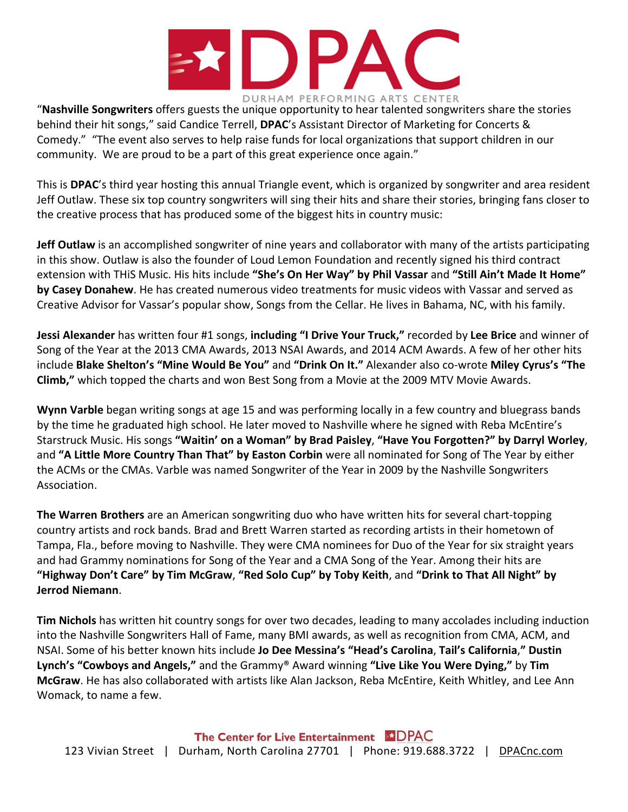

"**Nashville Songwriters** offers guests the unique opportunity to hear talented songwriters share the stories behind their hit songs," said Candice Terrell, **DPAC**'s Assistant Director of Marketing for Concerts & Comedy." "The event also serves to help raise funds for local organizations that support children in our community. We are proud to be a part of this great experience once again."

This is **DPAC**'s third year hosting this annual Triangle event, which is organized by songwriter and area resident Jeff Outlaw. These six top country songwriters will sing their hits and share their stories, bringing fans closer to the creative process that has produced some of the biggest hits in country music:

**Jeff Outlaw** is an accomplished songwriter of nine years and collaborator with many of the artists participating in this show. Outlaw is also the founder of Loud Lemon Foundation and recently signed his third contract extension with THiS Music. His hits include **"She's On Her Way" by Phil Vassar** and **"Still Ain't Made It Home" by Casey Donahew**. He has created numerous video treatments for music videos with Vassar and served as Creative Advisor for Vassar's popular show, Songs from the Cellar. He lives in Bahama, NC, with his family.

**Jessi Alexander** has written four #1 songs, **including "I Drive Your Truck,"** recorded by **Lee Brice** and winner of Song of the Year at the 2013 CMA Awards, 2013 NSAI Awards, and 2014 ACM Awards. A few of her other hits include **Blake Shelton's "Mine Would Be You"** and **"Drink On It."** Alexander also co-wrote **Miley Cyrus's "The Climb,"** which topped the charts and won Best Song from a Movie at the 2009 MTV Movie Awards.

**Wynn Varble** began writing songs at age 15 and was performing locally in a few country and bluegrass bands by the time he graduated high school. He later moved to Nashville where he signed with Reba McEntire's Starstruck Music. His songs **"Waitin' on a Woman" by Brad Paisley**, **"Have You Forgotten?" by Darryl Worley**, and **"A Little More Country Than That" by Easton Corbin** were all nominated for Song of The Year by either the ACMs or the CMAs. Varble was named Songwriter of the Year in 2009 by the Nashville Songwriters Association.

**The Warren Brothers** are an American songwriting duo who have written hits for several chart-topping country artists and rock bands. Brad and Brett Warren started as recording artists in their hometown of Tampa, Fla., before moving to Nashville. They were CMA nominees for Duo of the Year for six straight years and had Grammy nominations for Song of the Year and a CMA Song of the Year. Among their hits are **"Highway Don't Care" by Tim McGraw**, **"Red Solo Cup" by Toby Keith**, and **"Drink to That All Night" by Jerrod Niemann**.

**Tim Nichols** has written hit country songs for over two decades, leading to many accolades including induction into the Nashville Songwriters Hall of Fame, many BMI awards, as well as recognition from CMA, ACM, and NSAI. Some of his better known hits include **Jo Dee Messina's "Head's Carolina**, **Tail's California**,**" Dustin Lynch's "Cowboys and Angels,"** and the Grammy® Award winning **"Live Like You Were Dying,"** by **Tim McGraw**. He has also collaborated with artists like Alan Jackson, Reba McEntire, Keith Whitley, and Lee Ann Womack, to name a few.